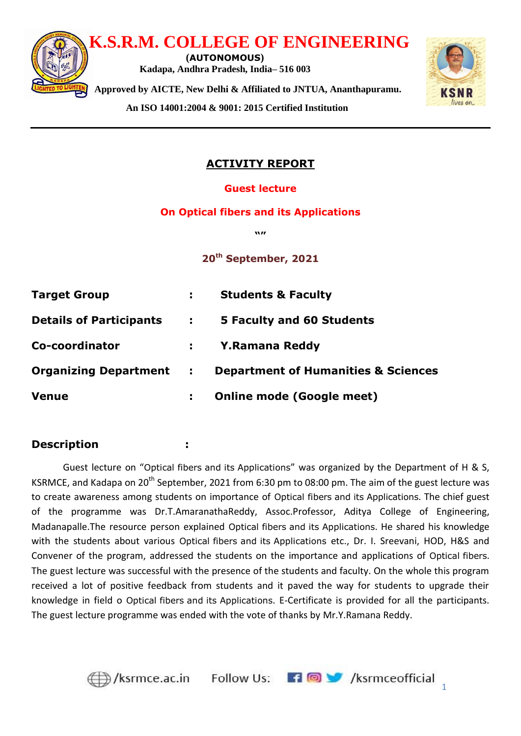

**An ISO 14001:2004 & 9001: 2015 Certified Institution**



# **ACTIVITY REPORT**

### **Guest lecture**

#### **On Optical fibers and its Applications**

**w** 

**20th September, 2021** 

| <b>Target Group</b>            | ÷.           | <b>Students &amp; Faculty</b>                  |
|--------------------------------|--------------|------------------------------------------------|
| <b>Details of Participants</b> | П.           | 5 Faculty and 60 Students                      |
| Co-coordinator                 | t i          | <b>Y.Ramana Reddy</b>                          |
| <b>Organizing Department</b>   | $\mathbf{L}$ | <b>Department of Humanities &amp; Sciences</b> |
| <b>Venue</b>                   | ÷.           | <b>Online mode (Google meet)</b>               |
|                                |              |                                                |

# **Description :**

Guest lecture on "Optical fibers and its Applications" was organized by the Department of H & S, KSRMCE, and Kadapa on 20<sup>th</sup> September, 2021 from 6:30 pm to 08:00 pm. The aim of the guest lecture was to create awareness among students on importance of Optical fibers and its Applications. The chief guest of the programme was Dr.T.AmaranathaReddy, Assoc.Professor, Aditya College of Engineering, Madanapalle.The resource person explained Optical fibers and its Applications. He shared his knowledge with the students about various Optical fibers and its Applications etc., Dr. I. Sreevani, HOD, H&S and Convener of the program, addressed the students on the importance and applications of Optical fibers. The guest lecture was successful with the presence of the students and faculty. On the whole this program received a lot of positive feedback from students and it paved the way for students to upgrade their knowledge in field o Optical fibers and its Applications. E-Certificate is provided for all the participants. The guest lecture programme was ended with the vote of thanks by Mr.Y.Ramana Reddy.